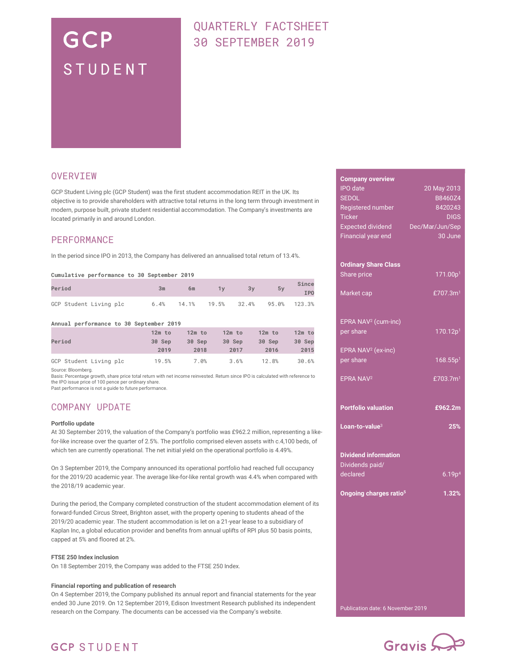# GCP STUDENT

# QUARTERLY FACTSHEET 30 SEPTEMBER 2019

### **OVERVIEW**

GCP Student Living plc (GCP Student) was the first student accommodation REIT in the UK. Its objective is to provide shareholders with attractive total returns in the long term through investment in modern, purpose built, private student residential accommodation. The Company's investments are located primarily in and around London.

### PERFORMANCE

In the period since IPO in 2013, the Company has delivered an annualised total return of 13.4%.

#### Cumulative performance to 30 September 2019

| Period                 | 3m | 6m                                  | 3v | 5v | Since<br><b>IPO</b> |
|------------------------|----|-------------------------------------|----|----|---------------------|
| GCP Student Living plc |    | 6.4% 14.1% 19.5% 32.4% 95.0% 123.3% |    |    |                     |

#### Annual performance to 30 September 2019

|                        | $12m$ to | $12m$ to | $12m$ to | $12m$ to | $12m$ to |
|------------------------|----------|----------|----------|----------|----------|
| Period                 | 30 Sep   | 30 Sep   | 30 Sep   | 30 Sep   | 30 Sep   |
|                        | 2019     | 2018     | 2017     | 2016     | 2015     |
| GCP Student Living plc | 19.5%    | 7.0%     | 3.6%     | 12.8%    | 30.6%    |

Source: Bloomberg.

Basis: Percentage growth, share price total return with net income reinvested. Return since IPO is calculated with reference to the IPO issue price of 100 pence per ordinary share.

Past performance is not a guide to future performance.

## COMPANY UPDATE

#### Portfolio update

At 30 September 2019, the valuation of the Company's portfolio was £962.2 million, representing a likefor-like increase over the quarter of 2.5%. The portfolio comprised eleven assets with c.4,100 beds, of which ten are currently operational. The net initial yield on the operational portfolio is 4.49%.

On 3 September 2019, the Company announced its operational portfolio had reached full occupancy for the 2019/20 academic year. The average like-for-like rental growth was 4.4% when compared with the 2018/19 academic year.

During the period, the Company completed construction of the student accommodation element of its forward-funded Circus Street, Brighton asset, with the property opening to students ahead of the 2019/20 academic year. The student accommodation is let on a 21-year lease to a subsidiary of Kaplan Inc, a global education provider and benefits from annual uplifts of RPI plus 50 basis points, capped at 5% and floored at 2%.

#### FTSE 250 Index inclusion

On 18 September 2019, the Company was added to the FTSE 250 Index.

#### Financial reporting and publication of research

On 4 September 2019, the Company published its annual report and financial statements for the year ended 30 June 2019. On 12 September 2019, Edison Investment Research published its independent research on the Company. The documents can be accessed via the Company's website.

| 20 May 2013                        |
|------------------------------------|
| B8460Z4                            |
| 8420243                            |
| <b>DIGS</b>                        |
|                                    |
| Dec/Mar/Jun/Sep                    |
| 30 June                            |
|                                    |
|                                    |
|                                    |
| 171.00p <sup>1</sup>               |
|                                    |
| £707.3m <sup>1</sup>               |
|                                    |
|                                    |
|                                    |
| 170.12p <sup>1</sup>               |
|                                    |
|                                    |
| 168.55p <sup>1</sup>               |
|                                    |
| £703.7 $m1$                        |
|                                    |
|                                    |
| £962.2m                            |
|                                    |
| 25%                                |
|                                    |
|                                    |
|                                    |
|                                    |
|                                    |
| 6.19p <sup>4</sup>                 |
|                                    |
| 1.32%                              |
|                                    |
|                                    |
|                                    |
|                                    |
|                                    |
|                                    |
|                                    |
|                                    |
|                                    |
|                                    |
|                                    |
|                                    |
| Ongoing charges ratio <sup>5</sup> |



# **GCP STUDENT**